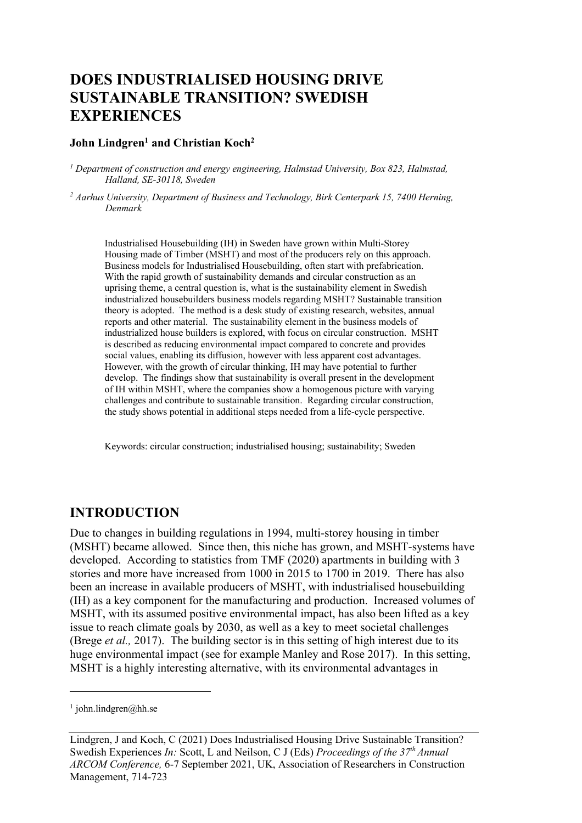# **DOES INDUSTRIALISED HOUSING DRIVE SUSTAINABLE TRANSITION? SWEDISH EXPERIENCES**

#### **John Lindgren1 and Christian Koch2**

*<sup>1</sup> Department of construction and energy engineering, Halmstad University, Box 823, Halmstad, Halland, SE-30118, Sweden*

*<sup>2</sup> Aarhus University, Department of Business and Technology, Birk Centerpark 15, 7400 Herning, Denmark*

Industrialised Housebuilding (IH) in Sweden have grown within Multi-Storey Housing made of Timber (MSHT) and most of the producers rely on this approach. Business models for Industrialised Housebuilding, often start with prefabrication. With the rapid growth of sustainability demands and circular construction as an uprising theme, a central question is, what is the sustainability element in Swedish industrialized housebuilders business models regarding MSHT? Sustainable transition theory is adopted. The method is a desk study of existing research, websites, annual reports and other material. The sustainability element in the business models of industrialized house builders is explored, with focus on circular construction. MSHT is described as reducing environmental impact compared to concrete and provides social values, enabling its diffusion, however with less apparent cost advantages. However, with the growth of circular thinking, IH may have potential to further develop. The findings show that sustainability is overall present in the development of IH within MSHT, where the companies show a homogenous picture with varying challenges and contribute to sustainable transition. Regarding circular construction, the study shows potential in additional steps needed from a life-cycle perspective.

Keywords: circular construction; industrialised housing; sustainability; Sweden

### **INTRODUCTION**

Due to changes in building regulations in 1994, multi-storey housing in timber (MSHT) became allowed. Since then, this niche has grown, and MSHT-systems have developed. According to statistics from TMF (2020) apartments in building with 3 stories and more have increased from 1000 in 2015 to 1700 in 2019. There has also been an increase in available producers of MSHT, with industrialised housebuilding (IH) as a key component for the manufacturing and production. Increased volumes of MSHT, with its assumed positive environmental impact, has also been lifted as a key issue to reach climate goals by 2030, as well as a key to meet societal challenges (Brege *et al.,* 2017). The building sector is in this setting of high interest due to its huge environmental impact (see for example Manley and Rose 2017). In this setting, MSHT is a highly interesting alternative, with its environmental advantages in

 $1$  john.lindgren@hh.se

Lindgren, J and Koch, C (2021) Does Industrialised Housing Drive Sustainable Transition? Swedish Experiences *In:* Scott, L and Neilson, C J (Eds) *Proceedings of the 37th Annual ARCOM Conference,* 6-7 September 2021, UK, Association of Researchers in Construction Management, 714-723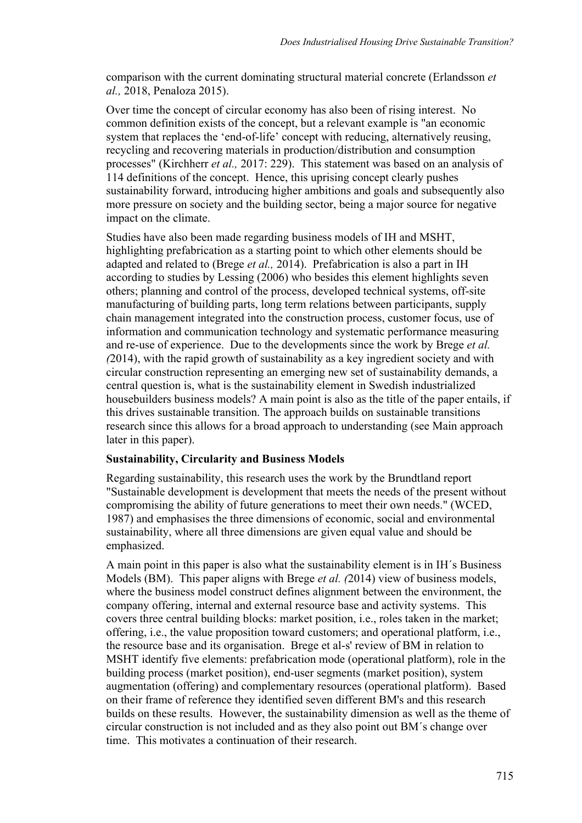comparison with the current dominating structural material concrete (Erlandsson *et al.,* 2018, Penaloza 2015).

Over time the concept of circular economy has also been of rising interest. No common definition exists of the concept, but a relevant example is "an economic system that replaces the 'end-of-life' concept with reducing, alternatively reusing, recycling and recovering materials in production/distribution and consumption processes" (Kirchherr *et al.,* 2017: 229). This statement was based on an analysis of 114 definitions of the concept. Hence, this uprising concept clearly pushes sustainability forward, introducing higher ambitions and goals and subsequently also more pressure on society and the building sector, being a major source for negative impact on the climate.

Studies have also been made regarding business models of IH and MSHT, highlighting prefabrication as a starting point to which other elements should be adapted and related to (Brege *et al.,* 2014). Prefabrication is also a part in IH according to studies by Lessing (2006) who besides this element highlights seven others; planning and control of the process, developed technical systems, off-site manufacturing of building parts, long term relations between participants, supply chain management integrated into the construction process, customer focus, use of information and communication technology and systematic performance measuring and re-use of experience. Due to the developments since the work by Brege *et al. (*2014), with the rapid growth of sustainability as a key ingredient society and with circular construction representing an emerging new set of sustainability demands, a central question is, what is the sustainability element in Swedish industrialized housebuilders business models? A main point is also as the title of the paper entails, if this drives sustainable transition. The approach builds on sustainable transitions research since this allows for a broad approach to understanding (see Main approach later in this paper).

#### **Sustainability, Circularity and Business Models**

Regarding sustainability, this research uses the work by the Brundtland report "Sustainable development is development that meets the needs of the present without compromising the ability of future generations to meet their own needs." (WCED, 1987) and emphasises the three dimensions of economic, social and environmental sustainability, where all three dimensions are given equal value and should be emphasized.

A main point in this paper is also what the sustainability element is in IH´s Business Models (BM). This paper aligns with Brege *et al. (*2014) view of business models, where the business model construct defines alignment between the environment, the company offering, internal and external resource base and activity systems. This covers three central building blocks: market position, i.e., roles taken in the market; offering, i.e., the value proposition toward customers; and operational platform, i.e., the resource base and its organisation. Brege et al-s' review of BM in relation to MSHT identify five elements: prefabrication mode (operational platform), role in the building process (market position), end-user segments (market position), system augmentation (offering) and complementary resources (operational platform). Based on their frame of reference they identified seven different BM's and this research builds on these results. However, the sustainability dimension as well as the theme of circular construction is not included and as they also point out BM´s change over time. This motivates a continuation of their research.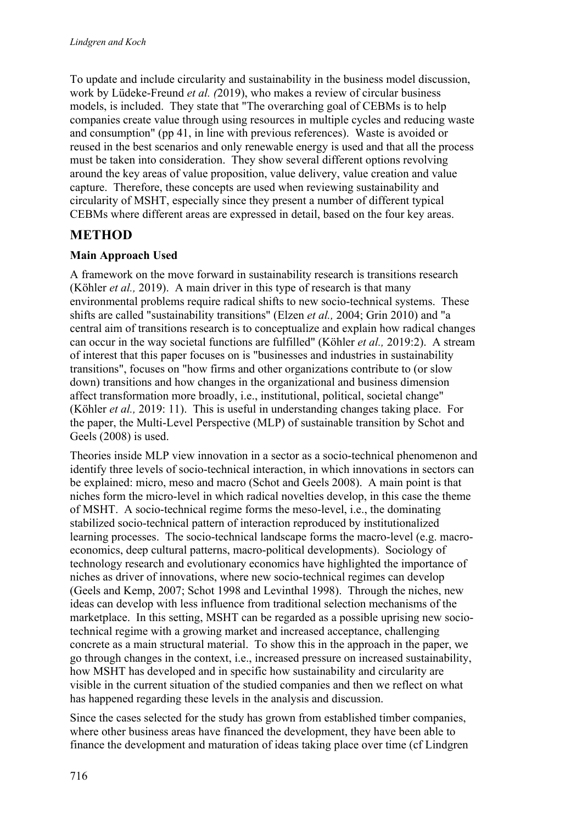To update and include circularity and sustainability in the business model discussion, work by Lüdeke-Freund *et al. (*2019), who makes a review of circular business models, is included. They state that "The overarching goal of CEBMs is to help companies create value through using resources in multiple cycles and reducing waste and consumption" (pp 41, in line with previous references). Waste is avoided or reused in the best scenarios and only renewable energy is used and that all the process must be taken into consideration. They show several different options revolving around the key areas of value proposition, value delivery, value creation and value capture. Therefore, these concepts are used when reviewing sustainability and circularity of MSHT, especially since they present a number of different typical CEBMs where different areas are expressed in detail, based on the four key areas.

# **METHOD**

### **Main Approach Used**

A framework on the move forward in sustainability research is transitions research (Köhler *et al.,* 2019). A main driver in this type of research is that many environmental problems require radical shifts to new socio-technical systems. These shifts are called "sustainability transitions" (Elzen *et al.,* 2004; Grin 2010) and "a central aim of transitions research is to conceptualize and explain how radical changes can occur in the way societal functions are fulfilled" (Köhler *et al.,* 2019:2). A stream of interest that this paper focuses on is "businesses and industries in sustainability transitions", focuses on "how firms and other organizations contribute to (or slow down) transitions and how changes in the organizational and business dimension affect transformation more broadly, i.e., institutional, political, societal change" (Köhler *et al.,* 2019: 11). This is useful in understanding changes taking place. For the paper, the Multi-Level Perspective (MLP) of sustainable transition by Schot and Geels (2008) is used.

Theories inside MLP view innovation in a sector as a socio-technical phenomenon and identify three levels of socio-technical interaction, in which innovations in sectors can be explained: micro, meso and macro (Schot and Geels 2008). A main point is that niches form the micro-level in which radical novelties develop, in this case the theme of MSHT. A socio-technical regime forms the meso-level, i.e., the dominating stabilized socio-technical pattern of interaction reproduced by institutionalized learning processes. The socio-technical landscape forms the macro-level (e.g. macroeconomics, deep cultural patterns, macro-political developments). Sociology of technology research and evolutionary economics have highlighted the importance of niches as driver of innovations, where new socio-technical regimes can develop (Geels and Kemp, 2007; Schot 1998 and Levinthal 1998). Through the niches, new ideas can develop with less influence from traditional selection mechanisms of the marketplace. In this setting, MSHT can be regarded as a possible uprising new sociotechnical regime with a growing market and increased acceptance, challenging concrete as a main structural material. To show this in the approach in the paper, we go through changes in the context, i.e., increased pressure on increased sustainability, how MSHT has developed and in specific how sustainability and circularity are visible in the current situation of the studied companies and then we reflect on what has happened regarding these levels in the analysis and discussion.

Since the cases selected for the study has grown from established timber companies, where other business areas have financed the development, they have been able to finance the development and maturation of ideas taking place over time (cf Lindgren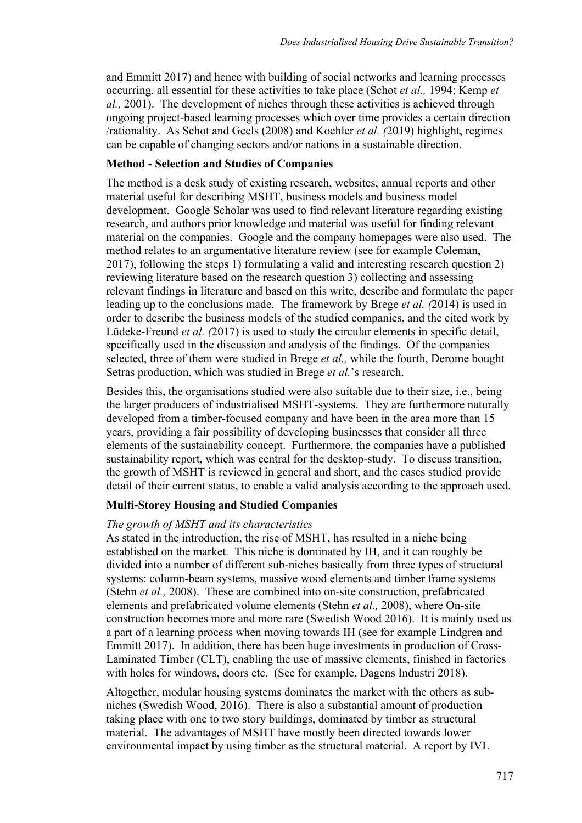and Emmitt 2017) and hence with building of social networks and learning processes occurring, all essential for these activities to take place (Schot *et al.,* 1994; Kemp *et al.,* 2001). The development of niches through these activities is achieved through ongoing project-based learning processes which over time provides a certain direction /rationality. As Schot and Geels (2008) and Koehler *et al. (*2019) highlight, regimes can be capable of changing sectors and/or nations in a sustainable direction.

#### **Method - Selection and Studies of Companies**

The method is a desk study of existing research, websites, annual reports and other material useful for describing MSHT, business models and business model development. Google Scholar was used to find relevant literature regarding existing research, and authors prior knowledge and material was useful for finding relevant material on the companies. Google and the company homepages were also used. The method relates to an argumentative literature review (see for example Coleman, 2017), following the steps 1) formulating a valid and interesting research question 2) reviewing literature based on the research question 3) collecting and assessing relevant findings in literature and based on this write, describe and formulate the paper leading up to the conclusions made. The framework by Brege *et al. (*2014) is used in order to describe the business models of the studied companies, and the cited work by Lüdeke-Freund *et al. (*2017) is used to study the circular elements in specific detail, specifically used in the discussion and analysis of the findings. Of the companies selected, three of them were studied in Brege *et al.,* while the fourth, Derome bought Setras production, which was studied in Brege *et al.*'s research.

Besides this, the organisations studied were also suitable due to their size, i.e., being the larger producers of industrialised MSHT-systems. They are furthermore naturally developed from a timber-focused company and have been in the area more than 15 years, providing a fair possibility of developing businesses that consider all three elements of the sustainability concept. Furthermore, the companies have a published sustainability report, which was central for the desktop-study. To discuss transition, the growth of MSHT is reviewed in general and short, and the cases studied provide detail of their current status, to enable a valid analysis according to the approach used.

#### **Multi-Storey Housing and Studied Companies**

#### *The growth of MSHT and its characteristics*

As stated in the introduction, the rise of MSHT, has resulted in a niche being established on the market. This niche is dominated by IH, and it can roughly be divided into a number of different sub-niches basically from three types of structural systems: column-beam systems, massive wood elements and timber frame systems (Stehn *et al.,* 2008). These are combined into on-site construction, prefabricated elements and prefabricated volume elements (Stehn *et al.,* 2008), where On-site construction becomes more and more rare (Swedish Wood 2016). It is mainly used as a part of a learning process when moving towards IH (see for example Lindgren and Emmitt 2017). In addition, there has been huge investments in production of Cross-Laminated Timber (CLT), enabling the use of massive elements, finished in factories with holes for windows, doors etc. (See for example, Dagens Industri 2018).

Altogether, modular housing systems dominates the market with the others as subniches (Swedish Wood, 2016). There is also a substantial amount of production taking place with one to two story buildings, dominated by timber as structural material. The advantages of MSHT have mostly been directed towards lower environmental impact by using timber as the structural material. A report by IVL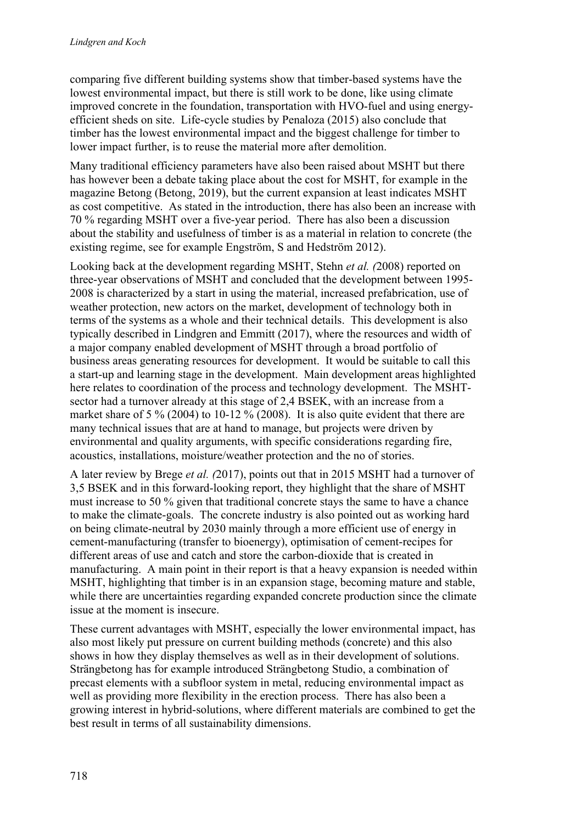comparing five different building systems show that timber-based systems have the lowest environmental impact, but there is still work to be done, like using climate improved concrete in the foundation, transportation with HVO-fuel and using energyefficient sheds on site. Life-cycle studies by Penaloza (2015) also conclude that timber has the lowest environmental impact and the biggest challenge for timber to lower impact further, is to reuse the material more after demolition.

Many traditional efficiency parameters have also been raised about MSHT but there has however been a debate taking place about the cost for MSHT, for example in the magazine Betong (Betong, 2019), but the current expansion at least indicates MSHT as cost competitive. As stated in the introduction, there has also been an increase with 70 % regarding MSHT over a five-year period. There has also been a discussion about the stability and usefulness of timber is as a material in relation to concrete (the existing regime, see for example Engström, S and Hedström 2012).

Looking back at the development regarding MSHT, Stehn *et al. (*2008) reported on three-year observations of MSHT and concluded that the development between 1995- 2008 is characterized by a start in using the material, increased prefabrication, use of weather protection, new actors on the market, development of technology both in terms of the systems as a whole and their technical details. This development is also typically described in Lindgren and Emmitt (2017), where the resources and width of a major company enabled development of MSHT through a broad portfolio of business areas generating resources for development. It would be suitable to call this a start-up and learning stage in the development. Main development areas highlighted here relates to coordination of the process and technology development. The MSHTsector had a turnover already at this stage of 2,4 BSEK, with an increase from a market share of 5 % (2004) to 10-12 % (2008). It is also quite evident that there are many technical issues that are at hand to manage, but projects were driven by environmental and quality arguments, with specific considerations regarding fire, acoustics, installations, moisture/weather protection and the no of stories.

A later review by Brege *et al. (*2017), points out that in 2015 MSHT had a turnover of 3,5 BSEK and in this forward-looking report, they highlight that the share of MSHT must increase to 50 % given that traditional concrete stays the same to have a chance to make the climate-goals. The concrete industry is also pointed out as working hard on being climate-neutral by 2030 mainly through a more efficient use of energy in cement-manufacturing (transfer to bioenergy), optimisation of cement-recipes for different areas of use and catch and store the carbon-dioxide that is created in manufacturing. A main point in their report is that a heavy expansion is needed within MSHT, highlighting that timber is in an expansion stage, becoming mature and stable, while there are uncertainties regarding expanded concrete production since the climate issue at the moment is insecure.

These current advantages with MSHT, especially the lower environmental impact, has also most likely put pressure on current building methods (concrete) and this also shows in how they display themselves as well as in their development of solutions. Strängbetong has for example introduced Strängbetong Studio, a combination of precast elements with a subfloor system in metal, reducing environmental impact as well as providing more flexibility in the erection process. There has also been a growing interest in hybrid-solutions, where different materials are combined to get the best result in terms of all sustainability dimensions.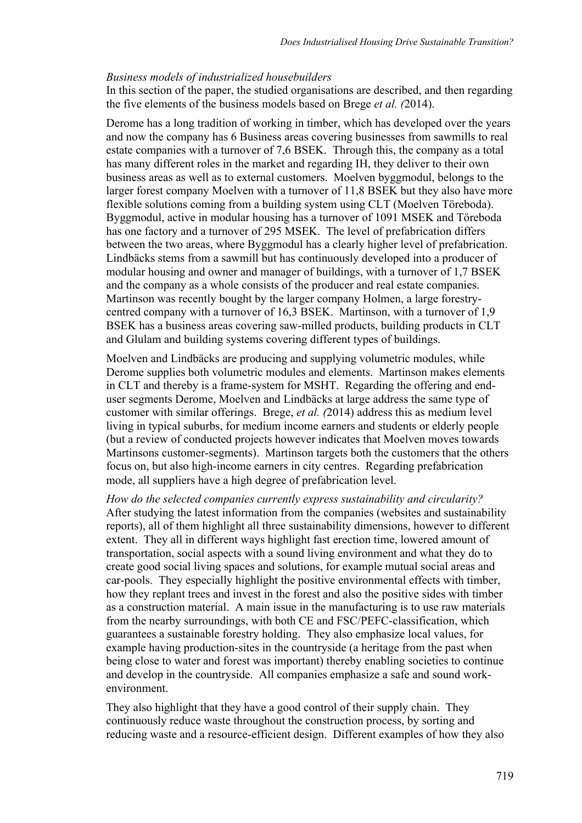#### *Business models of industrialized housebuilders*

In this section of the paper, the studied organisations are described, and then regarding the five elements of the business models based on Brege *et al. (*2014).

Derome has a long tradition of working in timber, which has developed over the years and now the company has 6 Business areas covering businesses from sawmills to real estate companies with a turnover of 7,6 BSEK. Through this, the company as a total has many different roles in the market and regarding IH, they deliver to their own business areas as well as to external customers. Moelven byggmodul, belongs to the larger forest company Moelven with a turnover of 11,8 BSEK but they also have more flexible solutions coming from a building system using CLT (Moelven Töreboda). Byggmodul, active in modular housing has a turnover of 1091 MSEK and Töreboda has one factory and a turnover of 295 MSEK. The level of prefabrication differs between the two areas, where Byggmodul has a clearly higher level of prefabrication. Lindbäcks stems from a sawmill but has continuously developed into a producer of modular housing and owner and manager of buildings, with a turnover of 1,7 BSEK and the company as a whole consists of the producer and real estate companies. Martinson was recently bought by the larger company Holmen, a large forestrycentred company with a turnover of 16,3 BSEK. Martinson, with a turnover of 1,9 BSEK has a business areas covering saw-milled products, building products in CLT and Glulam and building systems covering different types of buildings.

Moelven and Lindbäcks are producing and supplying volumetric modules, while Derome supplies both volumetric modules and elements. Martinson makes elements in CLT and thereby is a frame-system for MSHT. Regarding the offering and enduser segments Derome, Moelven and Lindbäcks at large address the same type of customer with similar offerings. Brege, *et al. (*2014) address this as medium level living in typical suburbs, for medium income earners and students or elderly people (but a review of conducted projects however indicates that Moelven moves towards Martinsons customer-segments). Martinson targets both the customers that the others focus on, but also high-income earners in city centres. Regarding prefabrication mode, all suppliers have a high degree of prefabrication level.

*How do the selected companies currently express sustainability and circularity?* After studying the latest information from the companies (websites and sustainability reports), all of them highlight all three sustainability dimensions, however to different extent. They all in different ways highlight fast erection time, lowered amount of transportation, social aspects with a sound living environment and what they do to create good social living spaces and solutions, for example mutual social areas and car-pools. They especially highlight the positive environmental effects with timber, how they replant trees and invest in the forest and also the positive sides with timber as a construction material. A main issue in the manufacturing is to use raw materials from the nearby surroundings, with both CE and FSC/PEFC-classification, which guarantees a sustainable forestry holding. They also emphasize local values, for example having production-sites in the countryside (a heritage from the past when being close to water and forest was important) thereby enabling societies to continue and develop in the countryside. All companies emphasize a safe and sound workenvironment.

They also highlight that they have a good control of their supply chain. They continuously reduce waste throughout the construction process, by sorting and reducing waste and a resource-efficient design. Different examples of how they also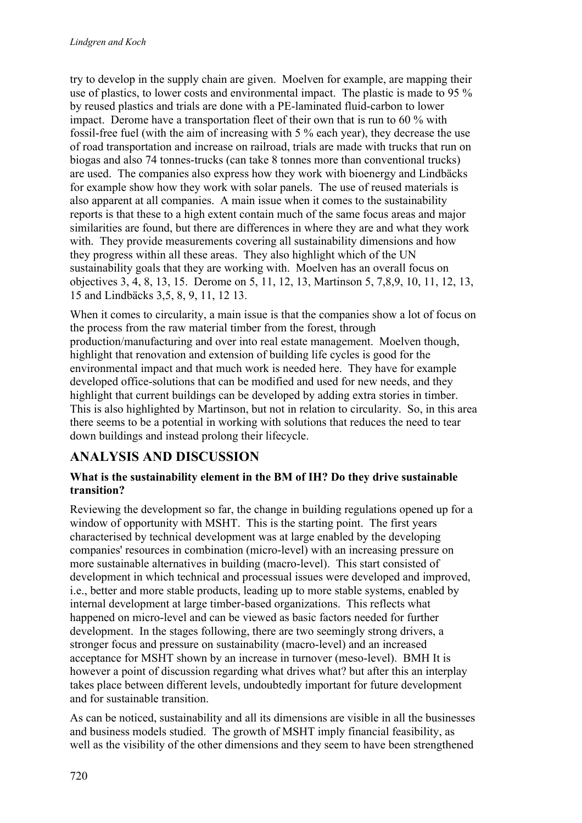try to develop in the supply chain are given. Moelven for example, are mapping their use of plastics, to lower costs and environmental impact. The plastic is made to 95 % by reused plastics and trials are done with a PE-laminated fluid-carbon to lower impact. Derome have a transportation fleet of their own that is run to 60 % with fossil-free fuel (with the aim of increasing with 5 % each year), they decrease the use of road transportation and increase on railroad, trials are made with trucks that run on biogas and also 74 tonnes-trucks (can take 8 tonnes more than conventional trucks) are used. The companies also express how they work with bioenergy and Lindbäcks for example show how they work with solar panels. The use of reused materials is also apparent at all companies. A main issue when it comes to the sustainability reports is that these to a high extent contain much of the same focus areas and major similarities are found, but there are differences in where they are and what they work with. They provide measurements covering all sustainability dimensions and how they progress within all these areas. They also highlight which of the UN sustainability goals that they are working with. Moelven has an overall focus on objectives 3, 4, 8, 13, 15. Derome on 5, 11, 12, 13, Martinson 5, 7,8,9, 10, 11, 12, 13, 15 and Lindbäcks 3,5, 8, 9, 11, 12 13.

When it comes to circularity, a main issue is that the companies show a lot of focus on the process from the raw material timber from the forest, through production/manufacturing and over into real estate management. Moelven though, highlight that renovation and extension of building life cycles is good for the environmental impact and that much work is needed here. They have for example developed office-solutions that can be modified and used for new needs, and they highlight that current buildings can be developed by adding extra stories in timber. This is also highlighted by Martinson, but not in relation to circularity. So, in this area there seems to be a potential in working with solutions that reduces the need to tear down buildings and instead prolong their lifecycle.

# **ANALYSIS AND DISCUSSION**

### **What is the sustainability element in the BM of IH? Do they drive sustainable transition?**

Reviewing the development so far, the change in building regulations opened up for a window of opportunity with MSHT. This is the starting point. The first years characterised by technical development was at large enabled by the developing companies' resources in combination (micro-level) with an increasing pressure on more sustainable alternatives in building (macro-level). This start consisted of development in which technical and processual issues were developed and improved, i.e., better and more stable products, leading up to more stable systems, enabled by internal development at large timber-based organizations. This reflects what happened on micro-level and can be viewed as basic factors needed for further development. In the stages following, there are two seemingly strong drivers, a stronger focus and pressure on sustainability (macro-level) and an increased acceptance for MSHT shown by an increase in turnover (meso-level). BMH It is however a point of discussion regarding what drives what? but after this an interplay takes place between different levels, undoubtedly important for future development and for sustainable transition.

As can be noticed, sustainability and all its dimensions are visible in all the businesses and business models studied. The growth of MSHT imply financial feasibility, as well as the visibility of the other dimensions and they seem to have been strengthened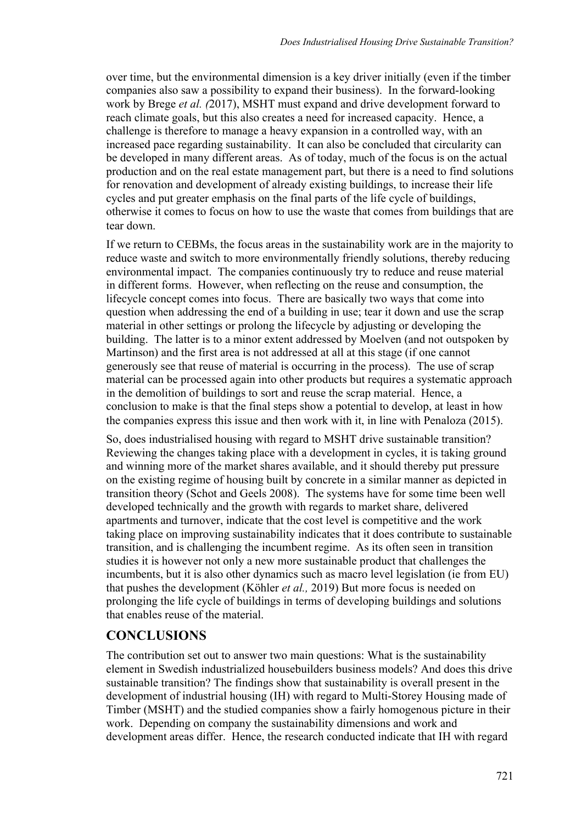over time, but the environmental dimension is a key driver initially (even if the timber companies also saw a possibility to expand their business). In the forward-looking work by Brege *et al. (*2017), MSHT must expand and drive development forward to reach climate goals, but this also creates a need for increased capacity. Hence, a challenge is therefore to manage a heavy expansion in a controlled way, with an increased pace regarding sustainability. It can also be concluded that circularity can be developed in many different areas. As of today, much of the focus is on the actual production and on the real estate management part, but there is a need to find solutions for renovation and development of already existing buildings, to increase their life cycles and put greater emphasis on the final parts of the life cycle of buildings, otherwise it comes to focus on how to use the waste that comes from buildings that are tear down.

If we return to CEBMs, the focus areas in the sustainability work are in the majority to reduce waste and switch to more environmentally friendly solutions, thereby reducing environmental impact. The companies continuously try to reduce and reuse material in different forms. However, when reflecting on the reuse and consumption, the lifecycle concept comes into focus. There are basically two ways that come into question when addressing the end of a building in use; tear it down and use the scrap material in other settings or prolong the lifecycle by adjusting or developing the building. The latter is to a minor extent addressed by Moelven (and not outspoken by Martinson) and the first area is not addressed at all at this stage (if one cannot generously see that reuse of material is occurring in the process). The use of scrap material can be processed again into other products but requires a systematic approach in the demolition of buildings to sort and reuse the scrap material. Hence, a conclusion to make is that the final steps show a potential to develop, at least in how the companies express this issue and then work with it, in line with Penaloza (2015).

So, does industrialised housing with regard to MSHT drive sustainable transition? Reviewing the changes taking place with a development in cycles, it is taking ground and winning more of the market shares available, and it should thereby put pressure on the existing regime of housing built by concrete in a similar manner as depicted in transition theory (Schot and Geels 2008). The systems have for some time been well developed technically and the growth with regards to market share, delivered apartments and turnover, indicate that the cost level is competitive and the work taking place on improving sustainability indicates that it does contribute to sustainable transition, and is challenging the incumbent regime. As its often seen in transition studies it is however not only a new more sustainable product that challenges the incumbents, but it is also other dynamics such as macro level legislation (ie from EU) that pushes the development (Köhler *et al.,* 2019) But more focus is needed on prolonging the life cycle of buildings in terms of developing buildings and solutions that enables reuse of the material.

## **CONCLUSIONS**

The contribution set out to answer two main questions: What is the sustainability element in Swedish industrialized housebuilders business models? And does this drive sustainable transition? The findings show that sustainability is overall present in the development of industrial housing (IH) with regard to Multi-Storey Housing made of Timber (MSHT) and the studied companies show a fairly homogenous picture in their work. Depending on company the sustainability dimensions and work and development areas differ. Hence, the research conducted indicate that IH with regard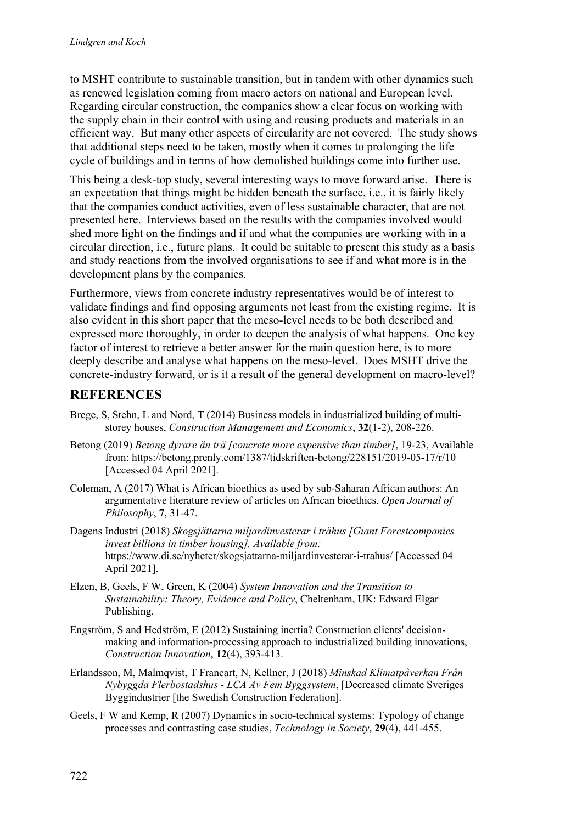to MSHT contribute to sustainable transition, but in tandem with other dynamics such as renewed legislation coming from macro actors on national and European level. Regarding circular construction, the companies show a clear focus on working with the supply chain in their control with using and reusing products and materials in an efficient way. But many other aspects of circularity are not covered. The study shows that additional steps need to be taken, mostly when it comes to prolonging the life cycle of buildings and in terms of how demolished buildings come into further use.

This being a desk-top study, several interesting ways to move forward arise. There is an expectation that things might be hidden beneath the surface, i.e., it is fairly likely that the companies conduct activities, even of less sustainable character, that are not presented here. Interviews based on the results with the companies involved would shed more light on the findings and if and what the companies are working with in a circular direction, i.e., future plans. It could be suitable to present this study as a basis and study reactions from the involved organisations to see if and what more is in the development plans by the companies.

Furthermore, views from concrete industry representatives would be of interest to validate findings and find opposing arguments not least from the existing regime. It is also evident in this short paper that the meso-level needs to be both described and expressed more thoroughly, in order to deepen the analysis of what happens. One key factor of interest to retrieve a better answer for the main question here, is to more deeply describe and analyse what happens on the meso-level. Does MSHT drive the concrete-industry forward, or is it a result of the general development on macro-level?

## **REFERENCES**

- Brege, S, Stehn, L and Nord, T (2014) Business models in industrialized building of multistorey houses, *Construction Management and Economics*, **32**(1-2), 208-226.
- Betong (2019) *Betong dyrare än trä [concrete more expensive than timber]*, 19-23, Available from: https://betong.prenly.com/1387/tidskriften-betong/228151/2019-05-17/r/10 [Accessed 04 April 2021].
- Coleman, A (2017) What is African bioethics as used by sub-Saharan African authors: An argumentative literature review of articles on African bioethics, *Open Journal of Philosophy*, **7**, 31-47.
- Dagens Industri (2018) *Skogsjättarna miljardinvesterar i trähus [Giant Forestcompanies invest billions in timber housing], Available from:*  https://www.di.se/nyheter/skogsjattarna-miljardinvesterar-i-trahus/ [Accessed 04 April 2021].
- Elzen, B, Geels, F W, Green, K (2004) *System Innovation and the Transition to Sustainability: Theory, Evidence and Policy*, Cheltenham, UK: Edward Elgar Publishing.
- Engström, S and Hedström, E (2012) Sustaining inertia? Construction clients' decision‐ making and information-processing approach to industrialized building innovations, *Construction Innovation*, **12**(4), 393-413.
- Erlandsson, M, Malmqvist, T Francart, N, Kellner, J (2018) *Minskad Klimatpåverkan Från Nybyggda Flerbostadshus - LCA Av Fem Byggsystem*, [Decreased climate Sveriges Byggindustrier [the Swedish Construction Federation].
- Geels, F W and Kemp, R (2007) Dynamics in socio-technical systems: Typology of change processes and contrasting case studies, *Technology in Society*, **29**(4), 441-455.